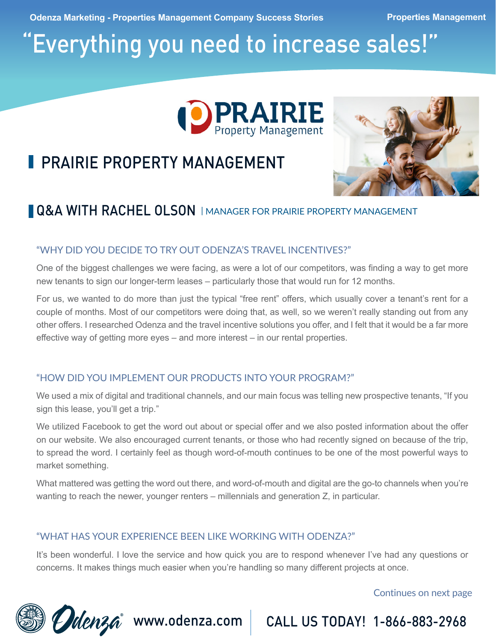**Odenza Marketing - Properties Management Company Success Stories <b>Properties Management** 

# "Everything you need to increase sales!"



# **PRAIRIE PROPERTY MANAGEMENT**



## Q&A WITH RACHEL OLSON | MANAGER FOR PRAIRIE PROPERTY MANAGEMENT

#### "WHY DID YOU DECIDE TO TRY OUT ODENZA'S TRAVEL INCENTIVES?"

One of the biggest challenges we were facing, as were a lot of our competitors, was finding a way to get more new tenants to sign our longer-term leases – particularly those that would run for 12 months.

For us, we wanted to do more than just the typical "free rent" offers, which usually cover a tenant's rent for a couple of months. Most of our competitors were doing that, as well, so we weren't really standing out from any other offers. I researched Odenza and the travel incentive solutions you offer, and I felt that it would be a far more effective way of getting more eyes – and more interest – in our rental properties.

### "HOW DID YOU IMPLEMENT OUR PRODUCTS INTO YOUR PROGRAM?"

We used a mix of digital and traditional channels, and our main focus was telling new prospective tenants, "If you sign this lease, you'll get a trip."

We utilized Facebook to get the word out about or special offer and we also posted information about the offer on our website. We also encouraged current tenants, or those who had recently signed on because of the trip, to spread the word. I certainly feel as though word-of-mouth continues to be one of the most powerful ways to market something.

What mattered was getting the word out there, and word-of-mouth and digital are the go-to channels when you're wanting to reach the newer, younger renters – millennials and generation Z, in particular.

#### "WHAT HAS YOUR EXPERIENCE BEEN LIKE WORKING WITH ODENZA?"

It's been wonderful. I love the service and how quick you are to respond whenever I've had any questions or concerns. It makes things much easier when you're handling so many different projects at once.

Continues on next page